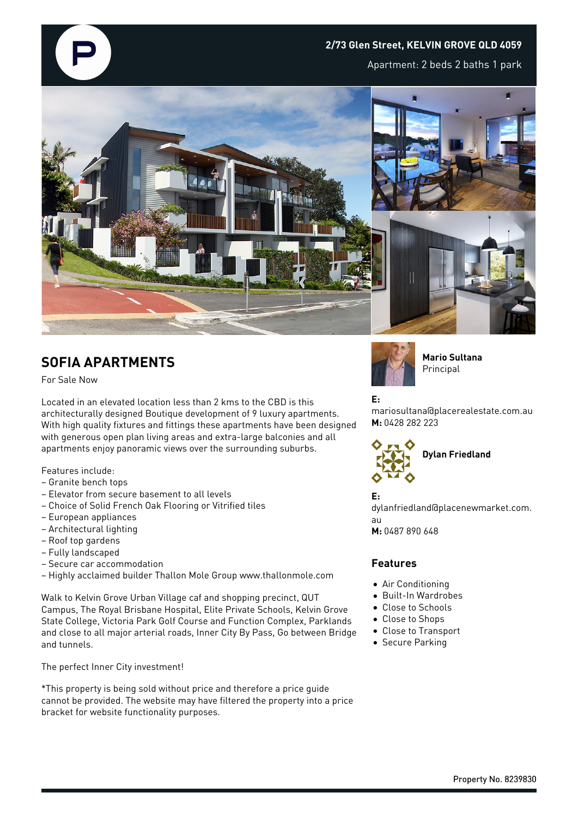

Apartment: 2 beds 2 baths 1 park



## **SOFIA APARTMENTS**

For Sale Now

Located in an elevated location less than 2 kms to the CBD is this architecturally designed Boutique development of 9 luxury apartments. With high quality fixtures and fittings these apartments have been designed with generous open plan living areas and extra-large balconies and all apartments enjoy panoramic views over the surrounding suburbs.

Features include:

- Granite bench tops
- Elevator from secure basement to all levels
- Choice of Solid French Oak Flooring or Vitrified tiles
- European appliances
- Architectural lighting
- Roof top gardens
- Fully landscaped
- Secure car accommodation

– Highly acclaimed builder Thallon Mole Group www.thallonmole.com

Walk to Kelvin Grove Urban Village caf and shopping precinct, QUT Campus, The Royal Brisbane Hospital, Elite Private Schools, Kelvin Grove State College, Victoria Park Golf Course and Function Complex, Parklands and close to all major arterial roads, Inner City By Pass, Go between Bridge and tunnels.

The perfect Inner City investment!

\*This property is being sold without price and therefore a price guide cannot be provided. The website may have filtered the property into a price bracket for website functionality purposes.



**Mario Sultana** Principal

**E:**

mariosultana@placerealestate.com.au **M:** 0428 282 223



**E:** dylanfriedland@placenewmarket.com. au **M:** 0487 890 648

## **Features**

- Air Conditioning
- Built-In Wardrobes
- Close to Schools
- Close to Shops
- Close to Transport
- **•** Secure Parking